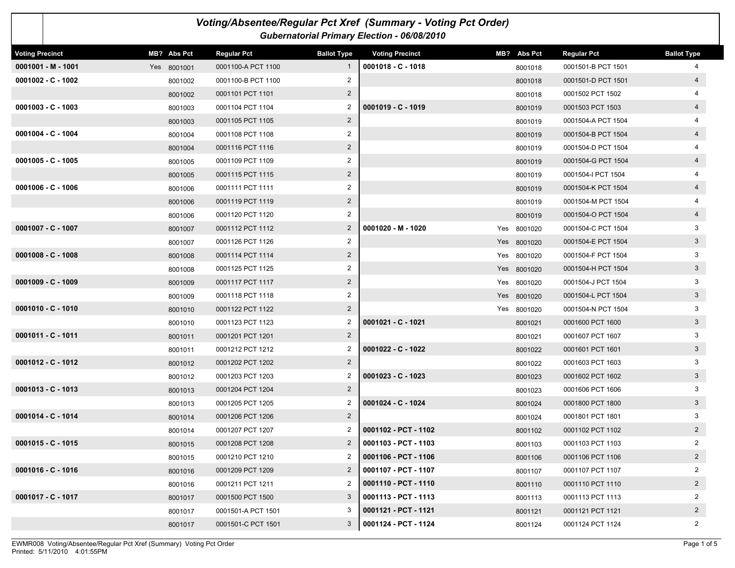| Voting/Absentee/Regular Pct Xref (Summary - Voting Pct Order)<br><b>Gubernatorial Primary Election - 06/08/2010</b> |             |                    |                    |                        |  |             |                    |                    |  |
|---------------------------------------------------------------------------------------------------------------------|-------------|--------------------|--------------------|------------------------|--|-------------|--------------------|--------------------|--|
| <b>Voting Precinct</b>                                                                                              | MB? Abs Pct | <b>Regular Pct</b> | <b>Ballot Type</b> | <b>Voting Precinct</b> |  | MB? Abs Pct | <b>Regular Pct</b> | <b>Ballot Type</b> |  |
| $0001001 - M - 1001$                                                                                                | Yes 8001001 | 0001100-A PCT 1100 | $\mathbf{1}$       | $0001018 - C - 1018$   |  | 8001018     | 0001501-B PCT 1501 | 4                  |  |
| $0001002 - C - 1002$                                                                                                | 8001002     | 0001100-B PCT 1100 | 2                  |                        |  | 8001018     | 0001501-D PCT 1501 | $\overline{4}$     |  |
|                                                                                                                     | 8001002     | 0001101 PCT 1101   | $\overline{2}$     |                        |  | 8001018     | 0001502 PCT 1502   |                    |  |
| $0001003 - C - 1003$                                                                                                | 8001003     | 0001104 PCT 1104   | 2                  | $0001019 - C - 1019$   |  | 8001019     | 0001503 PCT 1503   | $\overline{4}$     |  |
|                                                                                                                     | 8001003     | 0001105 PCT 1105   | $\overline{2}$     |                        |  | 8001019     | 0001504-A PCT 1504 |                    |  |
| $0001004 - C - 1004$                                                                                                | 8001004     | 0001108 PCT 1108   | $\overline{2}$     |                        |  | 8001019     | 0001504-B PCT 1504 | $\overline{4}$     |  |
|                                                                                                                     | 8001004     | 0001116 PCT 1116   | $\overline{2}$     |                        |  | 8001019     | 0001504-D PCT 1504 | 4                  |  |
| $0001005 - C - 1005$                                                                                                | 8001005     | 0001109 PCT 1109   | 2                  |                        |  | 8001019     | 0001504-G PCT 1504 | $\overline{4}$     |  |
|                                                                                                                     | 8001005     | 0001115 PCT 1115   | $\overline{2}$     |                        |  | 8001019     | 0001504-I PCT 1504 | 4                  |  |
| $0001006 - C - 1006$                                                                                                | 8001006     | 0001111 PCT 1111   | $\overline{2}$     |                        |  | 8001019     | 0001504-K PCT 1504 | $\overline{4}$     |  |
|                                                                                                                     | 8001006     | 0001119 PCT 1119   | $\overline{2}$     |                        |  | 8001019     | 0001504-M PCT 1504 |                    |  |
|                                                                                                                     | 8001006     | 0001120 PCT 1120   | $\overline{2}$     |                        |  | 8001019     | 0001504-O PCT 1504 | $\overline{4}$     |  |
| $0001007 - C - 1007$                                                                                                | 8001007     | 0001112 PCT 1112   | $\overline{2}$     | 0001020 - M - 1020     |  | Yes 8001020 | 0001504-C PCT 1504 | 3                  |  |
|                                                                                                                     | 8001007     | 0001126 PCT 1126   | $\overline{2}$     |                        |  | Yes 8001020 | 0001504-E PCT 1504 | 3                  |  |
| $0001008 - C - 1008$                                                                                                | 8001008     | 0001114 PCT 1114   | $\overline{2}$     |                        |  | Yes 8001020 | 0001504-F PCT 1504 | 3                  |  |
|                                                                                                                     | 8001008     | 0001125 PCT 1125   | 2                  |                        |  | Yes 8001020 | 0001504-H PCT 1504 | 3 <sup>1</sup>     |  |
| $0001009 - C - 1009$                                                                                                | 8001009     | 0001117 PCT 1117   | $\overline{2}$     |                        |  | Yes 8001020 | 0001504-J PCT 1504 | 3                  |  |
|                                                                                                                     | 8001009     | 0001118 PCT 1118   | $\overline{2}$     |                        |  | Yes 8001020 | 0001504-L PCT 1504 | 3 <sup>5</sup>     |  |
| $0001010 - C - 1010$                                                                                                | 8001010     | 0001122 PCT 1122   | $\overline{2}$     |                        |  | Yes 8001020 | 0001504-N PCT 1504 | 3                  |  |
|                                                                                                                     | 8001010     | 0001123 PCT 1123   | 2                  | 0001021 - C - 1021     |  | 8001021     | 0001600 PCT 1600   | 3 <sup>1</sup>     |  |
| $0001011 - C - 1011$                                                                                                | 8001011     | 0001201 PCT 1201   | $\overline{2}$     |                        |  | 8001021     | 0001607 PCT 1607   | 3                  |  |
|                                                                                                                     | 8001011     | 0001212 PCT 1212   | 2                  | $0001022 - C - 1022$   |  | 8001022     | 0001601 PCT 1601   | 3 <sup>1</sup>     |  |
| $0001012 - C - 1012$                                                                                                | 8001012     | 0001202 PCT 1202   | $\overline{2}$     |                        |  | 8001022     | 0001603 PCT 1603   | 3                  |  |
|                                                                                                                     | 8001012     | 0001203 PCT 1203   | $\overline{2}$     | $0001023 - C - 1023$   |  | 8001023     | 0001602 PCT 1602   | $\mathbf{3}$       |  |
| $0001013 - C - 1013$                                                                                                | 8001013     | 0001204 PCT 1204   | $\overline{2}$     |                        |  | 8001023     | 0001606 PCT 1606   | 3                  |  |
|                                                                                                                     | 8001013     | 0001205 PCT 1205   | $\overline{2}$     | 0001024 - C - 1024     |  | 8001024     | 0001800 PCT 1800   | 3 <sup>1</sup>     |  |
| 0001014 - C - 1014                                                                                                  | 8001014     | 0001206 PCT 1206   | $\overline{2}$     |                        |  | 8001024     | 0001801 PCT 1801   | 3                  |  |
|                                                                                                                     | 8001014     | 0001207 PCT 1207   | $\overline{2}$     | 0001102 - PCT - 1102   |  | 8001102     | 0001102 PCT 1102   | $\overline{2}$     |  |
| $0001015 - C - 1015$                                                                                                | 8001015     | 0001208 PCT 1208   | $\mathbf{2}$       | 0001103 - PCT - 1103   |  | 8001103     | 0001103 PCT 1103   | $\overline{2}$     |  |
|                                                                                                                     | 8001015     | 0001210 PCT 1210   | 2                  | 0001106 - PCT - 1106   |  | 8001106     | 0001106 PCT 1106   | $2^{\circ}$        |  |
| 0001016 - C - 1016                                                                                                  | 8001016     | 0001209 PCT 1209   | $\overline{2}$     | 0001107 - PCT - 1107   |  | 8001107     | 0001107 PCT 1107   | $\overline{2}$     |  |
|                                                                                                                     | 8001016     | 0001211 PCT 1211   | 2                  | 0001110 - PCT - 1110   |  | 8001110     | 0001110 PCT 1110   | $2 \overline{ }$   |  |
| $0001017 - C - 1017$                                                                                                | 8001017     | 0001500 PCT 1500   | 3                  | 0001113 - PCT - 1113   |  | 8001113     | 0001113 PCT 1113   | $\overline{2}$     |  |
|                                                                                                                     | 8001017     | 0001501-A PCT 1501 | 3                  | 0001121 - PCT - 1121   |  | 8001121     | 0001121 PCT 1121   | $2^{\circ}$        |  |
|                                                                                                                     | 8001017     | 0001501-C PCT 1501 | 3                  | 0001124 - PCT - 1124   |  | 8001124     | 0001124 PCT 1124   | $\overline{2}$     |  |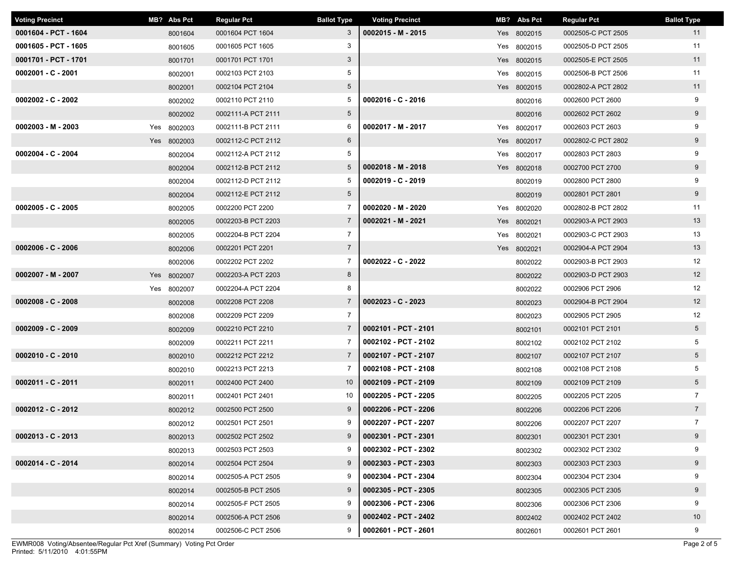| <b>Voting Precinct</b> |     | MB? Abs Pct | <b>Regular Pct</b> | <b>Ballot Type</b> | <b>Voting Precinct</b> | MB? Abs Pct | <b>Regular Pct</b> | <b>Ballot Type</b> |
|------------------------|-----|-------------|--------------------|--------------------|------------------------|-------------|--------------------|--------------------|
| 0001604 - PCT - 1604   |     | 8001604     | 0001604 PCT 1604   | 3                  | 0002015 - M - 2015     | Yes 8002015 | 0002505-C PCT 2505 | 11                 |
| 0001605 - PCT - 1605   |     | 8001605     | 0001605 PCT 1605   | 3                  |                        | Yes 8002015 | 0002505-D PCT 2505 | 11                 |
| 0001701 - PCT - 1701   |     | 8001701     | 0001701 PCT 1701   | $3\overline{3}$    |                        | Yes 8002015 | 0002505-E PCT 2505 | 11                 |
| $0002001 - C - 2001$   |     | 8002001     | 0002103 PCT 2103   | 5                  |                        | Yes 8002015 | 0002506-B PCT 2506 | 11                 |
|                        |     | 8002001     | 0002104 PCT 2104   | $5\overline{)}$    |                        | Yes 8002015 | 0002802-A PCT 2802 | 11                 |
| $0002002 - C - 2002$   |     | 8002002     | 0002110 PCT 2110   | 5                  | 0002016 - C - 2016     | 8002016     | 0002600 PCT 2600   | 9                  |
|                        |     | 8002002     | 0002111-A PCT 2111 | 5 <sup>5</sup>     |                        | 8002016     | 0002602 PCT 2602   | 9                  |
| $0002003 - M - 2003$   | Yes | 8002003     | 0002111-B PCT 2111 | 6                  | 0002017 - M - 2017     | Yes 8002017 | 0002603 PCT 2603   | 9                  |
|                        |     | Yes 8002003 | 0002112-C PCT 2112 | $6\overline{6}$    |                        | Yes 8002017 | 0002802-C PCT 2802 | 9                  |
| $0002004 - C - 2004$   |     | 8002004     | 0002112-A PCT 2112 | 5                  |                        | Yes 8002017 | 0002803 PCT 2803   | 9                  |
|                        |     | 8002004     | 0002112-B PCT 2112 | $5^{\circ}$        | 0002018 - M - 2018     | Yes 8002018 | 0002700 PCT 2700   | 9                  |
|                        |     | 8002004     | 0002112-D PCT 2112 | 5                  | $0002019 - C - 2019$   | 8002019     | 0002800 PCT 2800   | 9                  |
|                        |     | 8002004     | 0002112-E PCT 2112 | 5 <sup>5</sup>     |                        | 8002019     | 0002801 PCT 2801   | 9                  |
| $0002005 - C - 2005$   |     | 8002005     | 0002200 PCT 2200   | 7                  | 0002020 - M - 2020     | Yes 8002020 | 0002802-B PCT 2802 | 11                 |
|                        |     | 8002005     | 0002203-B PCT 2203 | $7\overline{ }$    | 0002021 - M - 2021     | Yes 8002021 | 0002903-A PCT 2903 | 13                 |
|                        |     | 8002005     | 0002204-B PCT 2204 | $\overline{7}$     |                        | Yes 8002021 | 0002903-C PCT 2903 | 13                 |
| $0002006 - C - 2006$   |     | 8002006     | 0002201 PCT 2201   | $\overline{7}$     |                        | Yes 8002021 | 0002904-A PCT 2904 | 13                 |
|                        |     | 8002006     | 0002202 PCT 2202   | $\overline{7}$     | 0002022 - C - 2022     | 8002022     | 0002903-B PCT 2903 | 12                 |
| 0002007 - M - 2007     |     | Yes 8002007 | 0002203-A PCT 2203 | 8                  |                        | 8002022     | 0002903-D PCT 2903 | 12                 |
|                        |     | Yes 8002007 | 0002204-A PCT 2204 | 8                  |                        | 8002022     | 0002906 PCT 2906   | 12 <sup>°</sup>    |
| $0002008 - C - 2008$   |     | 8002008     | 0002208 PCT 2208   | $7\overline{ }$    | $0002023 - C - 2023$   | 8002023     | 0002904-B PCT 2904 | 12 <sup>2</sup>    |
|                        |     | 8002008     | 0002209 PCT 2209   | $\overline{7}$     |                        | 8002023     | 0002905 PCT 2905   | 12                 |
| $0002009 - C - 2009$   |     | 8002009     | 0002210 PCT 2210   | $\overline{7}$     | 0002101 - PCT - 2101   | 8002101     | 0002101 PCT 2101   | 5 <sub>5</sub>     |
|                        |     | 8002009     | 0002211 PCT 2211   | $\overline{7}$     | 0002102 - PCT - 2102   | 8002102     | 0002102 PCT 2102   | 5                  |
| $0002010 - C - 2010$   |     | 8002010     | 0002212 PCT 2212   | $7\overline{ }$    | 0002107 - PCT - 2107   | 8002107     | 0002107 PCT 2107   | 5 <sub>5</sub>     |
|                        |     | 8002010     | 0002213 PCT 2213   | 7                  | 0002108 - PCT - 2108   | 8002108     | 0002108 PCT 2108   | 5                  |
| 0002011 - C - 2011     |     | 8002011     | 0002400 PCT 2400   | 10 <sup>°</sup>    | 0002109 - PCT - 2109   | 8002109     | 0002109 PCT 2109   | 5 <sup>5</sup>     |
|                        |     | 8002011     | 0002401 PCT 2401   | 10                 | 0002205 - PCT - 2205   | 8002205     | 0002205 PCT 2205   | $7\overline{ }$    |
| $0002012 - C - 2012$   |     | 8002012     | 0002500 PCT 2500   | 9                  | 0002206 - PCT - 2206   | 8002206     | 0002206 PCT 2206   | $7\overline{ }$    |
|                        |     | 8002012     | 0002501 PCT 2501   | 9                  | 0002207 - PCT - 2207   | 8002206     | 0002207 PCT 2207   | $7\overline{ }$    |
| $0002013 - C - 2013$   |     | 8002013     | 0002502 PCT 2502   | 9                  | 0002301 - PCT - 2301   | 8002301     | 0002301 PCT 2301   | 9                  |
|                        |     | 8002013     | 0002503 PCT 2503   | 9                  | 0002302 - PCT - 2302   | 8002302     | 0002302 PCT 2302   | 9                  |
| 0002014 - C - 2014     |     | 8002014     | 0002504 PCT 2504   | 9                  | 0002303 - PCT - 2303   | 8002303     | 0002303 PCT 2303   | 9                  |
|                        |     | 8002014     | 0002505-A PCT 2505 | 9                  | 0002304 - PCT - 2304   | 8002304     | 0002304 PCT 2304   | 9                  |
|                        |     | 8002014     | 0002505-B PCT 2505 | 9                  | 0002305 - PCT - 2305   | 8002305     | 0002305 PCT 2305   | 9                  |
|                        |     | 8002014     | 0002505-F PCT 2505 | 9                  | 0002306 - PCT - 2306   | 8002306     | 0002306 PCT 2306   | 9                  |
|                        |     | 8002014     | 0002506-A PCT 2506 | 9                  | 0002402 - PCT - 2402   | 8002402     | 0002402 PCT 2402   | 10 <sub>1</sub>    |
|                        |     | 8002014     | 0002506-C PCT 2506 | 9                  | 0002601 - PCT - 2601   | 8002601     | 0002601 PCT 2601   | 9                  |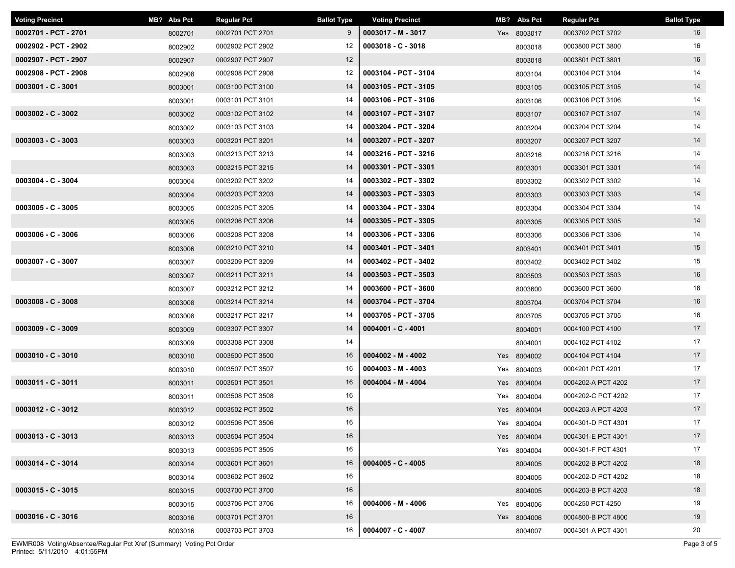| <b>Voting Precinct</b> | MB? Abs Pct | <b>Regular Pct</b> | <b>Ballot Type</b> | <b>Voting Precinct</b> | MB? Abs Pct | <b>Regular Pct</b> | <b>Ballot Type</b> |
|------------------------|-------------|--------------------|--------------------|------------------------|-------------|--------------------|--------------------|
| 0002701 - PCT - 2701   | 8002701     | 0002701 PCT 2701   | 9                  | 0003017 - M - 3017     | Yes 8003017 | 0003702 PCT 3702   | 16                 |
| 0002902 - PCT - 2902   | 8002902     | 0002902 PCT 2902   | 12                 | $0003018 - C - 3018$   | 8003018     | 0003800 PCT 3800   | 16                 |
| 0002907 - PCT - 2907   | 8002907     | 0002907 PCT 2907   | 12                 |                        | 8003018     | 0003801 PCT 3801   | 16                 |
| 0002908 - PCT - 2908   | 8002908     | 0002908 PCT 2908   | 12                 | 0003104 - PCT - 3104   | 8003104     | 0003104 PCT 3104   | 14                 |
| $0003001 - C - 3001$   | 8003001     | 0003100 PCT 3100   | 14                 | 0003105 - PCT - 3105   | 8003105     | 0003105 PCT 3105   | 14                 |
|                        | 8003001     | 0003101 PCT 3101   | 14                 | 0003106 - PCT - 3106   | 8003106     | 0003106 PCT 3106   | 14                 |
| $0003002 - C - 3002$   | 8003002     | 0003102 PCT 3102   | 14                 | 0003107 - PCT - 3107   | 8003107     | 0003107 PCT 3107   | 14                 |
|                        | 8003002     | 0003103 PCT 3103   | 14                 | 0003204 - PCT - 3204   | 8003204     | 0003204 PCT 3204   | 14                 |
| $0003003 - C - 3003$   | 8003003     | 0003201 PCT 3201   | 14                 | 0003207 - PCT - 3207   | 8003207     | 0003207 PCT 3207   | 14                 |
|                        | 8003003     | 0003213 PCT 3213   | 14                 | 0003216 - PCT - 3216   | 8003216     | 0003216 PCT 3216   | 14                 |
|                        | 8003003     | 0003215 PCT 3215   | 14                 | 0003301 - PCT - 3301   | 8003301     | 0003301 PCT 3301   | 14                 |
| $0003004 - C - 3004$   | 8003004     | 0003202 PCT 3202   | 14                 | 0003302 - PCT - 3302   | 8003302     | 0003302 PCT 3302   | 14                 |
|                        | 8003004     | 0003203 PCT 3203   | 14                 | 0003303 - PCT - 3303   | 8003303     | 0003303 PCT 3303   | 14                 |
| $0003005 - C - 3005$   | 8003005     | 0003205 PCT 3205   | 14                 | 0003304 - PCT - 3304   | 8003304     | 0003304 PCT 3304   | 14                 |
|                        | 8003005     | 0003206 PCT 3206   | 14                 | 0003305 - PCT - 3305   | 8003305     | 0003305 PCT 3305   | 14                 |
| $0003006 - C - 3006$   | 8003006     | 0003208 PCT 3208   | 14                 | 0003306 - PCT - 3306   | 8003306     | 0003306 PCT 3306   | 14                 |
|                        | 8003006     | 0003210 PCT 3210   | 14                 | 0003401 - PCT - 3401   | 8003401     | 0003401 PCT 3401   | 15                 |
| 0003007 - C - 3007     | 8003007     | 0003209 PCT 3209   | 14                 | 0003402 - PCT - 3402   | 8003402     | 0003402 PCT 3402   | 15                 |
|                        | 8003007     | 0003211 PCT 3211   | 14                 | 0003503 - PCT - 3503   | 8003503     | 0003503 PCT 3503   | 16                 |
|                        | 8003007     | 0003212 PCT 3212   | 14                 | 0003600 - PCT - 3600   | 8003600     | 0003600 PCT 3600   | 16                 |
| $0003008 - C - 3008$   | 8003008     | 0003214 PCT 3214   | 14                 | 0003704 - PCT - 3704   | 8003704     | 0003704 PCT 3704   | 16                 |
|                        | 8003008     | 0003217 PCT 3217   | 14                 | 0003705 - PCT - 3705   | 8003705     | 0003705 PCT 3705   | 16                 |
| $0003009 - C - 3009$   | 8003009     | 0003307 PCT 3307   | 14                 | $0004001 - C - 4001$   | 8004001     | 0004100 PCT 4100   | 17                 |
|                        | 8003009     | 0003308 PCT 3308   | 14                 |                        | 8004001     | 0004102 PCT 4102   | 17                 |
| $0003010 - C - 3010$   | 8003010     | 0003500 PCT 3500   | 16                 | $0004002 - M - 4002$   | Yes 8004002 | 0004104 PCT 4104   | 17                 |
|                        | 8003010     | 0003507 PCT 3507   | 16                 | $0004003 - M - 4003$   | Yes 8004003 | 0004201 PCT 4201   | 17                 |
| 0003011 - C - 3011     | 8003011     | 0003501 PCT 3501   | 16                 | $0004004 - M - 4004$   | Yes 8004004 | 0004202-A PCT 4202 | 17                 |
|                        | 8003011     | 0003508 PCT 3508   | 16                 |                        | Yes 8004004 | 0004202-C PCT 4202 | 17                 |
| $0003012 - C - 3012$   | 8003012     | 0003502 PCT 3502   | 16                 |                        | Yes 8004004 | 0004203-A PCT 4203 | 17                 |
|                        | 8003012     | 0003506 PCT 3506   | 16                 |                        | Yes 8004004 | 0004301-D PCT 4301 | 17                 |
| $0003013 - C - 3013$   | 8003013     | 0003504 PCT 3504   | 16                 |                        | Yes 8004004 | 0004301-E PCT 4301 | 17                 |
|                        | 8003013     | 0003505 PCT 3505   | 16                 |                        | Yes 8004004 | 0004301-F PCT 4301 | 17                 |
| $0003014 - C - 3014$   | 8003014     | 0003601 PCT 3601   | 16                 | $0004005 - C - 4005$   | 8004005     | 0004202-B PCT 4202 | 18                 |
|                        | 8003014     | 0003602 PCT 3602   | 16                 |                        | 8004005     | 0004202-D PCT 4202 | 18                 |
| $0003015 - C - 3015$   | 8003015     | 0003700 PCT 3700   | 16                 |                        | 8004005     | 0004203-B PCT 4203 | 18                 |
|                        | 8003015     | 0003706 PCT 3706   | 16                 | $0004006 - M - 4006$   | Yes 8004006 | 0004250 PCT 4250   | 19                 |
| $0003016 - C - 3016$   | 8003016     | 0003701 PCT 3701   | 16                 |                        | Yes 8004006 | 0004800-B PCT 4800 | 19                 |
|                        | 8003016     | 0003703 PCT 3703   | 16                 | 0004007 - C - 4007     | 8004007     | 0004301-A PCT 4301 | 20                 |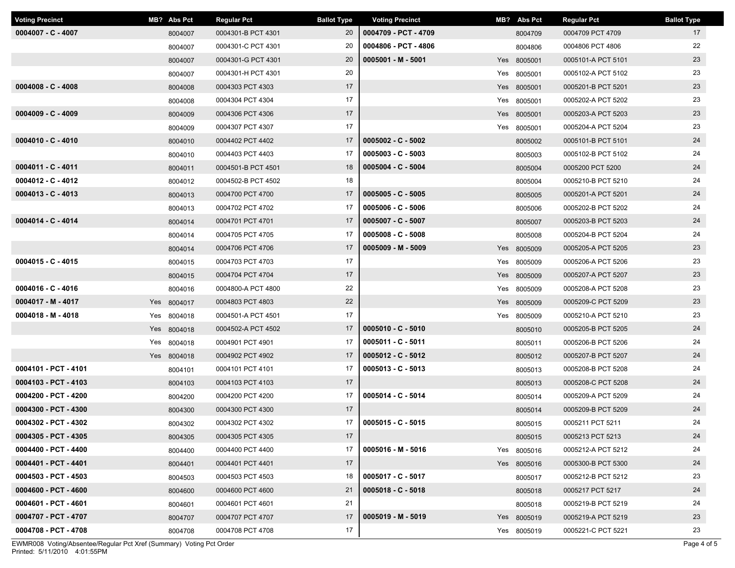| <b>Voting Precinct</b> | MB? Abs Pct | <b>Regular Pct</b> | <b>Ballot Type</b> | <b>Voting Precinct</b> | MB? Abs Pct | <b>Regular Pct</b> | <b>Ballot Type</b> |
|------------------------|-------------|--------------------|--------------------|------------------------|-------------|--------------------|--------------------|
| $0004007 - C - 4007$   | 8004007     | 0004301-B PCT 4301 | 20                 | 0004709 - PCT - 4709   | 8004709     | 0004709 PCT 4709   | 17                 |
|                        | 8004007     | 0004301-C PCT 4301 | 20                 | 0004806 - PCT - 4806   | 8004806     | 0004806 PCT 4806   | 22                 |
|                        | 8004007     | 0004301-G PCT 4301 | 20                 | $0005001 - M - 5001$   | Yes 8005001 | 0005101-A PCT 5101 | 23                 |
|                        | 8004007     | 0004301-H PCT 4301 | 20                 |                        | Yes 8005001 | 0005102-A PCT 5102 | 23                 |
| $0004008 - C - 4008$   | 8004008     | 0004303 PCT 4303   | 17                 |                        | Yes 8005001 | 0005201-B PCT 5201 | 23                 |
|                        | 8004008     | 0004304 PCT 4304   | 17                 |                        | Yes 8005001 | 0005202-A PCT 5202 | 23                 |
| $0004009 - C - 4009$   | 8004009     | 0004306 PCT 4306   | 17                 |                        | Yes 8005001 | 0005203-A PCT 5203 | 23                 |
|                        | 8004009     | 0004307 PCT 4307   | 17                 |                        | Yes 8005001 | 0005204-A PCT 5204 | 23                 |
| $0004010 - C - 4010$   | 8004010     | 0004402 PCT 4402   | 17                 | $0005002 - C - 5002$   | 8005002     | 0005101-B PCT 5101 | 24                 |
|                        | 8004010     | 0004403 PCT 4403   | 17                 | $0005003 - C - 5003$   | 8005003     | 0005102-B PCT 5102 | 24                 |
| 0004011 - C - 4011     | 8004011     | 0004501-B PCT 4501 | 18                 | $0005004 - C - 5004$   | 8005004     | 0005200 PCT 5200   | 24                 |
| $0004012 - C - 4012$   | 8004012     | 0004502-B PCT 4502 | 18                 |                        | 8005004     | 0005210-B PCT 5210 | 24                 |
| $0004013 - C - 4013$   | 8004013     | 0004700 PCT 4700   | 17                 | $0005005 - C - 5005$   | 8005005     | 0005201-A PCT 5201 | 24                 |
|                        | 8004013     | 0004702 PCT 4702   | 17                 | $0005006 - C - 5006$   | 8005006     | 0005202-B PCT 5202 | 24                 |
| 0004014 - C - 4014     | 8004014     | 0004701 PCT 4701   | 17                 | $0005007 - C - 5007$   | 8005007     | 0005203-B PCT 5203 | 24                 |
|                        | 8004014     | 0004705 PCT 4705   | 17                 | $0005008 - C - 5008$   | 8005008     | 0005204-B PCT 5204 | 24                 |
|                        | 8004014     | 0004706 PCT 4706   | 17                 | $0005009 - M - 5009$   | Yes 8005009 | 0005205-A PCT 5205 | 23                 |
| $0004015 - C - 4015$   | 8004015     | 0004703 PCT 4703   | 17                 |                        | Yes 8005009 | 0005206-A PCT 5206 | 23                 |
|                        | 8004015     | 0004704 PCT 4704   | 17                 |                        | Yes 8005009 | 0005207-A PCT 5207 | 23                 |
| $0004016 - C - 4016$   | 8004016     | 0004800-A PCT 4800 | 22                 |                        | Yes 8005009 | 0005208-A PCT 5208 | 23                 |
| $0004017 - M - 4017$   | Yes 8004017 | 0004803 PCT 4803   | 22                 |                        | Yes 8005009 | 0005209-C PCT 5209 | 23                 |
| $0004018 - M - 4018$   | Yes 8004018 | 0004501-A PCT 4501 | 17                 |                        | Yes 8005009 | 0005210-A PCT 5210 | 23                 |
|                        | Yes 8004018 | 0004502-A PCT 4502 | 17                 | $0005010 - C - 5010$   | 8005010     | 0005205-B PCT 5205 | 24                 |
|                        | Yes 8004018 | 0004901 PCT 4901   | 17                 | $0005011 - C - 5011$   | 8005011     | 0005206-B PCT 5206 | 24                 |
|                        | Yes 8004018 | 0004902 PCT 4902   | 17                 | $0005012 - C - 5012$   | 8005012     | 0005207-B PCT 5207 | 24                 |
| 0004101 - PCT - 4101   | 8004101     | 0004101 PCT 4101   | 17                 | $0005013 - C - 5013$   | 8005013     | 0005208-B PCT 5208 | 24                 |
| 0004103 - PCT - 4103   | 8004103     | 0004103 PCT 4103   | 17                 |                        | 8005013     | 0005208-C PCT 5208 | 24                 |
| 0004200 - PCT - 4200   | 8004200     | 0004200 PCT 4200   | 17                 | $0005014 - C - 5014$   | 8005014     | 0005209-A PCT 5209 | 24                 |
| 0004300 - PCT - 4300   | 8004300     | 0004300 PCT 4300   | 17                 |                        | 8005014     | 0005209-B PCT 5209 | 24                 |
| 0004302 - PCT - 4302   | 8004302     | 0004302 PCT 4302   | 17                 | $0005015 - C - 5015$   | 8005015     | 0005211 PCT 5211   | 24                 |
| 0004305 - PCT - 4305   | 8004305     | 0004305 PCT 4305   | 17                 |                        | 8005015     | 0005213 PCT 5213   | 24                 |
| 0004400 - PCT - 4400   | 8004400     | 0004400 PCT 4400   | 17                 | $0005016 - M - 5016$   | Yes 8005016 | 0005212-A PCT 5212 | 24                 |
| 0004401 - PCT - 4401   | 8004401     | 0004401 PCT 4401   | 17                 |                        | Yes 8005016 | 0005300-B PCT 5300 | 24                 |
| 0004503 - PCT - 4503   | 8004503     | 0004503 PCT 4503   | 18                 | $0005017 - C - 5017$   | 8005017     | 0005212-B PCT 5212 | 23                 |
| 0004600 - PCT - 4600   | 8004600     | 0004600 PCT 4600   | 21                 | $0005018 - C - 5018$   | 8005018     | 0005217 PCT 5217   | 24                 |
| 0004601 - PCT - 4601   | 8004601     | 0004601 PCT 4601   | 21                 |                        | 8005018     | 0005219-B PCT 5219 | 24                 |
| 0004707 - PCT - 4707   | 8004707     | 0004707 PCT 4707   | 17                 | $0005019 - M - 5019$   | Yes 8005019 | 0005219-A PCT 5219 | 23                 |
| 0004708 - PCT - 4708   | 8004708     | 0004708 PCT 4708   | 17                 |                        | Yes 8005019 | 0005221-C PCT 5221 | 23                 |

Printed: 5/11/2010 4:01:55PM EWMR008 Voting/Absentee/Regular Pct Xref (Summary) Voting Pct Order Page 4 of 5